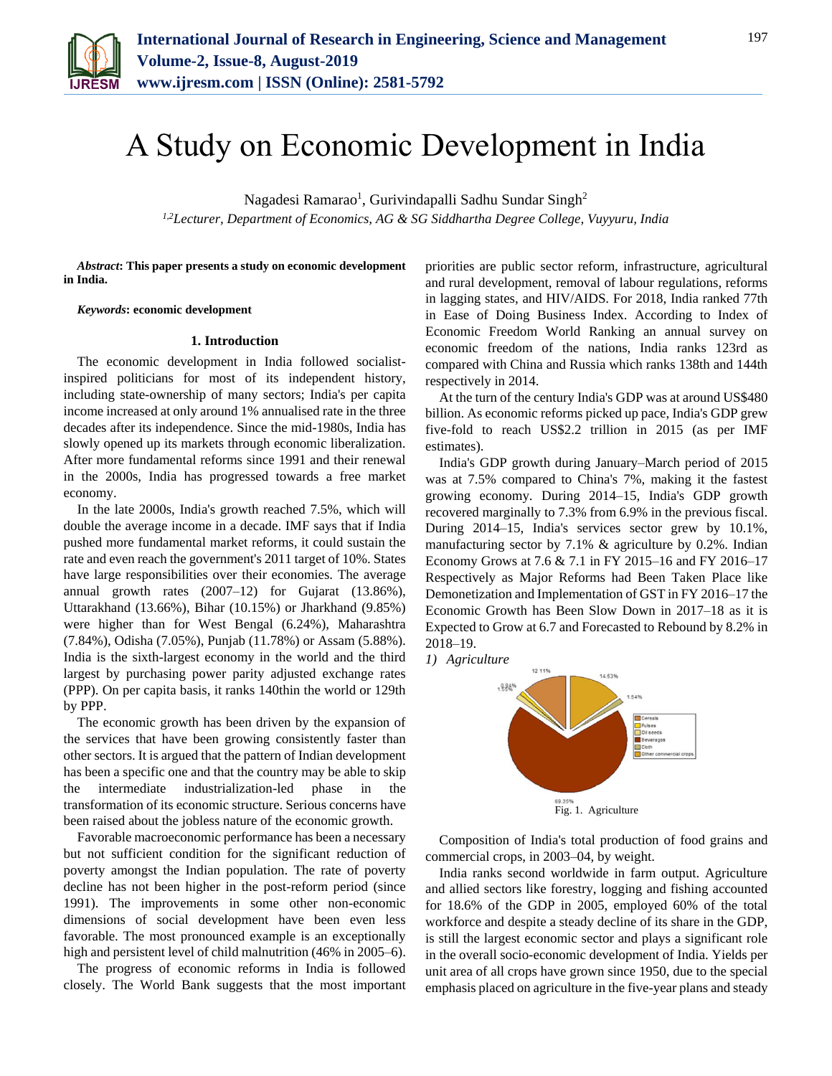

# A Study on Economic Development in India

Nagadesi Ramarao<sup>1</sup>, Gurivindapalli Sadhu Sundar Singh<sup>2</sup> *1,2Lecturer, Department of Economics, AG & SG Siddhartha Degree College, Vuyyuru, India*

*Abstract***: This paper presents a study on economic development in India.**

#### *Keywords***: economic development**

#### **1. Introduction**

The economic development in India followed socialistinspired politicians for most of its independent history, including state-ownership of many sectors; India's per capita income increased at only around 1% annualised rate in the three decades after its independence. Since the mid-1980s, India has slowly opened up its markets through economic liberalization. After more fundamental reforms since 1991 and their renewal in the 2000s, India has progressed towards a free market economy.

In the late 2000s, India's growth reached 7.5%, which will double the average income in a decade. IMF says that if India pushed more fundamental market reforms, it could sustain the rate and even reach the government's 2011 target of 10%. States have large responsibilities over their economies. The average annual growth rates (2007–12) for Gujarat (13.86%), Uttarakhand (13.66%), Bihar (10.15%) or Jharkhand (9.85%) were higher than for West Bengal (6.24%), Maharashtra (7.84%), Odisha (7.05%), Punjab (11.78%) or Assam (5.88%). India is the sixth-largest economy in the world and the third largest by purchasing power parity adjusted exchange rates (PPP). On per capita basis, it ranks 140thin the world or 129th by PPP.

The economic growth has been driven by the expansion of the services that have been growing consistently faster than other sectors. It is argued that the pattern of Indian development has been a specific one and that the country may be able to skip the intermediate industrialization-led phase in the transformation of its economic structure. Serious concerns have been raised about the jobless nature of the economic growth.

Favorable macroeconomic performance has been a necessary but not sufficient condition for the significant reduction of poverty amongst the Indian population. The rate of poverty decline has not been higher in the post-reform period (since 1991). The improvements in some other non-economic dimensions of social development have been even less favorable. The most pronounced example is an exceptionally high and persistent level of child malnutrition (46% in 2005–6).

The progress of economic reforms in India is followed closely. The World Bank suggests that the most important priorities are public sector reform, infrastructure, agricultural and rural development, removal of labour regulations, reforms in lagging states, and HIV/AIDS. For 2018, India ranked 77th in Ease of Doing Business Index. According to Index of Economic Freedom World Ranking an annual survey on economic freedom of the nations, India ranks 123rd as compared with China and Russia which ranks 138th and 144th respectively in 2014.

At the turn of the century India's GDP was at around US\$480 billion. As economic reforms picked up pace, India's GDP grew five-fold to reach US\$2.2 trillion in 2015 (as per IMF estimates).

India's GDP growth during January–March period of 2015 was at 7.5% compared to China's 7%, making it the fastest growing economy. During 2014–15, India's GDP growth recovered marginally to 7.3% from 6.9% in the previous fiscal. During 2014–15, India's services sector grew by 10.1%, manufacturing sector by 7.1% & agriculture by 0.2%. Indian Economy Grows at 7.6 & 7.1 in FY 2015–16 and FY 2016–17 Respectively as Major Reforms had Been Taken Place like Demonetization and Implementation of GST in FY 2016–17 the Economic Growth has Been Slow Down in 2017–18 as it is Expected to Grow at 6.7 and Forecasted to Rebound by 8.2% in 2018–19.



Fig. 1. Agriculture

Composition of India's total production of food grains and commercial crops, in 2003–04, by weight.

India ranks second worldwide in farm output. Agriculture and allied sectors like forestry, logging and fishing accounted for 18.6% of the GDP in 2005, employed 60% of the total workforce and despite a steady decline of its share in the GDP, is still the largest economic sector and plays a significant role in the overall socio-economic development of India. Yields per unit area of all crops have grown since 1950, due to the special emphasis placed on agriculture in the five-year plans and steady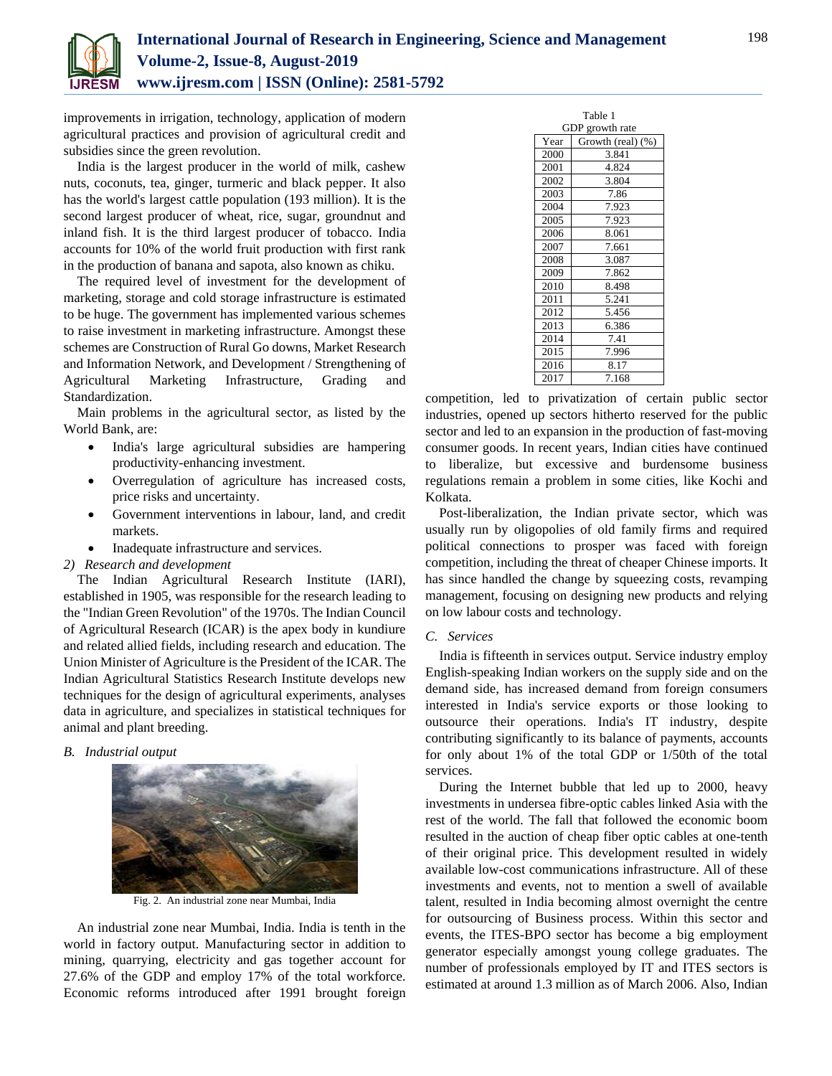

improvements in irrigation, technology, application of modern agricultural practices and provision of agricultural credit and subsidies since the green revolution.

India is the largest producer in the world of milk, cashew nuts, coconuts, tea, ginger, turmeric and black pepper. It also has the world's largest cattle population (193 million). It is the second largest producer of wheat, rice, sugar, groundnut and inland fish. It is the third largest producer of tobacco. India accounts for 10% of the world fruit production with first rank in the production of banana and sapota, also known as chiku.

The required level of investment for the development of marketing, storage and cold storage infrastructure is estimated to be huge. The government has implemented various schemes to raise investment in marketing infrastructure. Amongst these schemes are Construction of Rural Go downs, Market Research and Information Network, and Development / Strengthening of Agricultural Marketing Infrastructure, Grading and Standardization.

Main problems in the agricultural sector, as listed by the World Bank, are:

- India's large agricultural subsidies are hampering productivity-enhancing investment.
- Overregulation of agriculture has increased costs, price risks and uncertainty.
- Government interventions in labour, land, and credit markets.
- Inadequate infrastructure and services.

# *2) Research and development*

The Indian Agricultural Research Institute (IARI), established in 1905, was responsible for the research leading to the "Indian Green Revolution" of the 1970s. The Indian Council of Agricultural Research (ICAR) is the apex body in kundiure and related allied fields, including research and education. The Union Minister of Agriculture is the President of the ICAR. The Indian Agricultural Statistics Research Institute develops new techniques for the design of agricultural experiments, analyses data in agriculture, and specializes in statistical techniques for animal and plant breeding.

# *B. Industrial output*



Fig. 2. An industrial zone near Mumbai, India

An industrial zone near Mumbai, India. India is tenth in the world in factory output. Manufacturing sector in addition to mining, quarrying, electricity and gas together account for 27.6% of the GDP and employ 17% of the total workforce. Economic reforms introduced after 1991 brought foreign

| Table 1         |                   |  |  |  |  |  |  |
|-----------------|-------------------|--|--|--|--|--|--|
| GDP growth rate |                   |  |  |  |  |  |  |
| Year            | Growth (real) (%) |  |  |  |  |  |  |
| 2000            | 3.841             |  |  |  |  |  |  |
| 2001            | 4.824             |  |  |  |  |  |  |
| 2002            | 3.804             |  |  |  |  |  |  |
| 2003            | 7.86              |  |  |  |  |  |  |
| 2004            | 7.923             |  |  |  |  |  |  |
| 2005            | 7.923             |  |  |  |  |  |  |
| 2006            | 8.061             |  |  |  |  |  |  |
| 2007            | 7.661             |  |  |  |  |  |  |
| 2008            | 3.087             |  |  |  |  |  |  |
| 2009            | 7.862             |  |  |  |  |  |  |
| 2010            | 8.498             |  |  |  |  |  |  |
| 2011            | 5.241             |  |  |  |  |  |  |
| 2012            | 5.456             |  |  |  |  |  |  |
| 2013            | 6.386             |  |  |  |  |  |  |
| 2014            | 7.41              |  |  |  |  |  |  |
| 2015            | 7.996             |  |  |  |  |  |  |
| 2016            | 8.17              |  |  |  |  |  |  |
| 2017            | 7.168             |  |  |  |  |  |  |

competition, led to privatization of certain public sector industries, opened up sectors hitherto reserved for the public sector and led to an expansion in the production of fast-moving consumer goods. In recent years, Indian cities have continued to liberalize, but excessive and burdensome business regulations remain a problem in some cities, like Kochi and Kolkata.

Post-liberalization, the Indian private sector, which was usually run by oligopolies of old family firms and required political connections to prosper was faced with foreign competition, including the threat of cheaper Chinese imports. It has since handled the change by squeezing costs, revamping management, focusing on designing new products and relying on low labour costs and technology.

## *C. Services*

India is fifteenth in services output. Service industry employ English-speaking Indian workers on the supply side and on the demand side, has increased demand from foreign consumers interested in India's service exports or those looking to outsource their operations. India's IT industry, despite contributing significantly to its balance of payments, accounts for only about 1% of the total GDP or 1/50th of the total services.

During the Internet bubble that led up to 2000, heavy investments in undersea fibre-optic cables linked Asia with the rest of the world. The fall that followed the economic boom resulted in the auction of cheap fiber optic cables at one-tenth of their original price. This development resulted in widely available low-cost communications infrastructure. All of these investments and events, not to mention a swell of available talent, resulted in India becoming almost overnight the centre for outsourcing of Business process. Within this sector and events, the ITES-BPO sector has become a big employment generator especially amongst young college graduates. The number of professionals employed by IT and ITES sectors is estimated at around 1.3 million as of March 2006. Also, Indian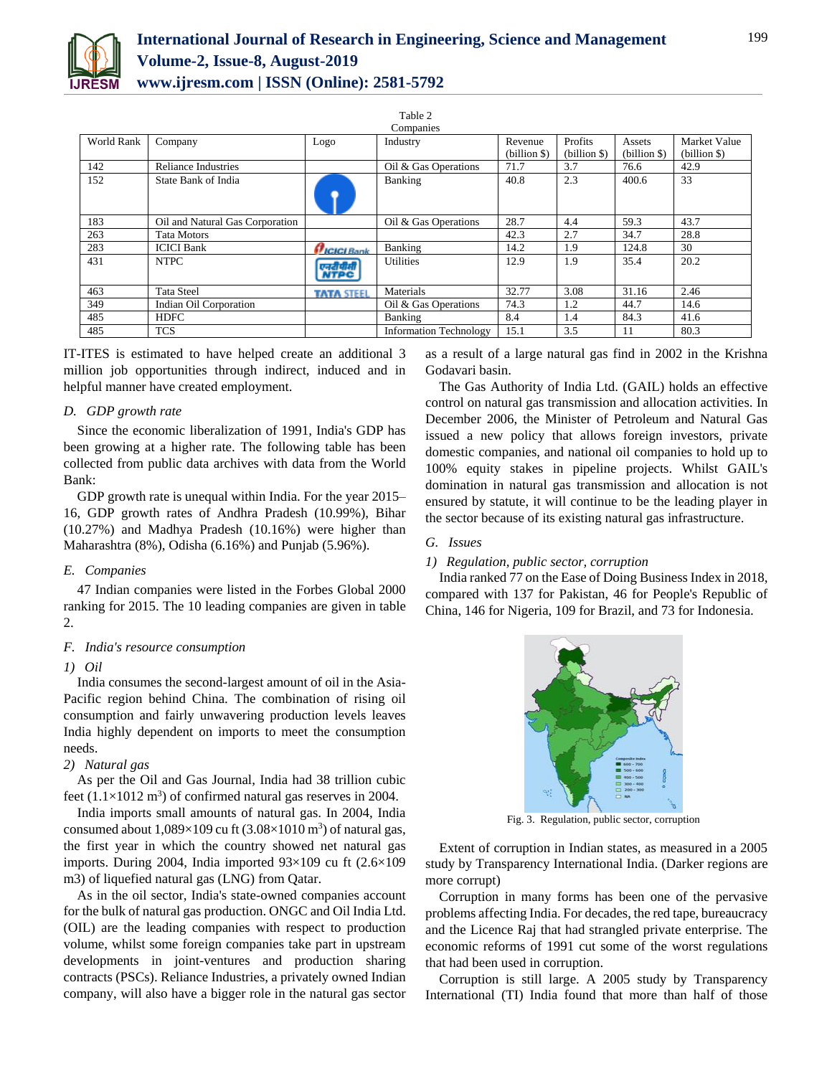

Table 2

|            |                                 |                           | Companies                     |              |              |              |              |
|------------|---------------------------------|---------------------------|-------------------------------|--------------|--------------|--------------|--------------|
| World Rank | Company                         | Logo                      | Industry                      | Revenue      | Profits      | Assets       | Market Value |
|            |                                 |                           |                               | (billion \$) | (billion \$) | (billion \$) | (billion \$) |
| 142        | <b>Reliance Industries</b>      |                           | Oil & Gas Operations          | 71.7         | 3.7          | 76.6         | 42.9         |
| 152        | State Bank of India             |                           | Banking                       | 40.8         | 2.3          | 400.6        | 33           |
| 183        | Oil and Natural Gas Corporation |                           | Oil & Gas Operations          | 28.7         | 4.4          | 59.3         | 43.7         |
| 263        | <b>Tata Motors</b>              |                           |                               | 42.3         | 2.7          | 34.7         | 28.8         |
| 283        | <b>ICICI Bank</b>               | <i><u>FICICI Bank</u></i> | Banking                       | 14.2         | 1.9          | 124.8        | 30           |
| 431        | <b>NTPC</b>                     | एनरीपीसी<br>NTPC          | <b>Utilities</b>              | 12.9         | 1.9          | 35.4         | 20.2         |
| 463        | <b>Tata Steel</b>               | <b>TATA STEEL</b>         | Materials                     | 32.77        | 3.08         | 31.16        | 2.46         |
| 349        | Indian Oil Corporation          |                           | Oil & Gas Operations          | 74.3         | 1.2          | 44.7         | 14.6         |
| 485        | <b>HDFC</b>                     |                           | Banking                       | 8.4          | 1.4          | 84.3         | 41.6         |
| 485        | <b>TCS</b>                      |                           | <b>Information Technology</b> | 15.1         | 3.5          | 11           | 80.3         |

IT-ITES is estimated to have helped create an additional 3 million job opportunities through indirect, induced and in helpful manner have created employment.

#### *D. GDP growth rate*

Since the economic liberalization of 1991, India's GDP has been growing at a higher rate. The following table has been collected from public data archives with data from the World Bank:

GDP growth rate is unequal within India. For the year 2015– 16, GDP growth rates of Andhra Pradesh (10.99%), Bihar (10.27%) and Madhya Pradesh (10.16%) were higher than Maharashtra (8%), Odisha (6.16%) and Punjab (5.96%).

## *E. Companies*

47 Indian companies were listed in the Forbes Global 2000 ranking for 2015. The 10 leading companies are given in table 2.

## *F. India's resource consumption*

## *1) Oil*

India consumes the second-largest amount of oil in the Asia-Pacific region behind China. The combination of rising oil consumption and fairly unwavering production levels leaves India highly dependent on imports to meet the consumption needs.

## *2) Natural gas*

As per the Oil and Gas Journal, India had 38 trillion cubic feet  $(1.1 \times 1012 \text{ m}^3)$  of confirmed natural gas reserves in 2004.

India imports small amounts of natural gas. In 2004, India consumed about  $1,089\times109$  cu ft  $(3.08\times1010 \text{ m}^3)$  of natural gas, the first year in which the country showed net natural gas imports. During 2004, India imported 93×109 cu ft (2.6×109 m3) of liquefied natural gas (LNG) from Qatar.

As in the oil sector, India's state-owned companies account for the bulk of natural gas production. ONGC and Oil India Ltd. (OIL) are the leading companies with respect to production volume, whilst some foreign companies take part in upstream developments in joint-ventures and production sharing contracts (PSCs). Reliance Industries, a privately owned Indian company, will also have a bigger role in the natural gas sector

as a result of a large natural gas find in 2002 in the Krishna Godavari basin.

The Gas Authority of India Ltd. (GAIL) holds an effective control on natural gas transmission and allocation activities. In December 2006, the Minister of Petroleum and Natural Gas issued a new policy that allows foreign investors, private domestic companies, and national oil companies to hold up to 100% equity stakes in pipeline projects. Whilst GAIL's domination in natural gas transmission and allocation is not ensured by statute, it will continue to be the leading player in the sector because of its existing natural gas infrastructure.

#### *G. Issues*

#### *1) Regulation, public sector, corruption*

India ranked 77 on the Ease of Doing Business Index in 2018, compared with 137 for Pakistan, 46 for People's Republic of China, 146 for Nigeria, 109 for Brazil, and 73 for Indonesia.



Fig. 3. Regulation, public sector, corruption

Extent of corruption in Indian states, as measured in a 2005 study by Transparency International India. (Darker regions are more corrupt)

Corruption in many forms has been one of the pervasive problems affecting India. For decades, the red tape, bureaucracy and the Licence Raj that had strangled private enterprise. The economic reforms of 1991 cut some of the worst regulations that had been used in corruption.

Corruption is still large. A 2005 study by Transparency International (TI) India found that more than half of those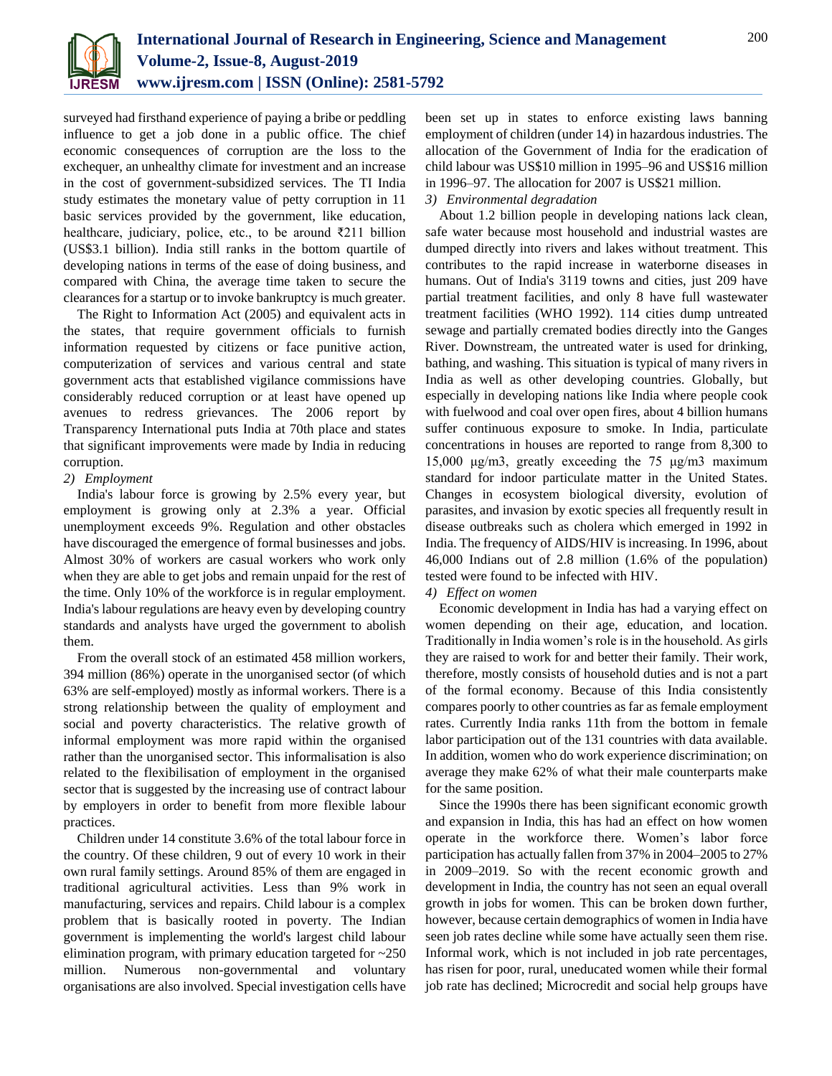

surveyed had firsthand experience of paying a bribe or peddling influence to get a job done in a public office. The chief economic consequences of corruption are the loss to the exchequer, an unhealthy climate for investment and an increase in the cost of government-subsidized services. The TI India study estimates the monetary value of petty corruption in 11 basic services provided by the government, like education, healthcare, judiciary, police, etc., to be around ₹211 billion (US\$3.1 billion). India still ranks in the bottom quartile of developing nations in terms of the ease of doing business, and compared with China, the average time taken to secure the clearances for a startup or to invoke bankruptcy is much greater.

The Right to Information Act (2005) and equivalent acts in the states, that require government officials to furnish information requested by citizens or face punitive action, computerization of services and various central and state government acts that established vigilance commissions have considerably reduced corruption or at least have opened up avenues to redress grievances. The 2006 report by Transparency International puts India at 70th place and states that significant improvements were made by India in reducing corruption.

## *2) Employment*

India's labour force is growing by 2.5% every year, but employment is growing only at 2.3% a year. Official unemployment exceeds 9%. Regulation and other obstacles have discouraged the emergence of formal businesses and jobs. Almost 30% of workers are casual workers who work only when they are able to get jobs and remain unpaid for the rest of the time. Only 10% of the workforce is in regular employment. India's labour regulations are heavy even by developing country standards and analysts have urged the government to abolish them.

From the overall stock of an estimated 458 million workers, 394 million (86%) operate in the unorganised sector (of which 63% are self-employed) mostly as informal workers. There is a strong relationship between the quality of employment and social and poverty characteristics. The relative growth of informal employment was more rapid within the organised rather than the unorganised sector. This informalisation is also related to the flexibilisation of employment in the organised sector that is suggested by the increasing use of contract labour by employers in order to benefit from more flexible labour practices.

Children under 14 constitute 3.6% of the total labour force in the country. Of these children, 9 out of every 10 work in their own rural family settings. Around 85% of them are engaged in traditional agricultural activities. Less than 9% work in manufacturing, services and repairs. Child labour is a complex problem that is basically rooted in poverty. The Indian government is implementing the world's largest child labour elimination program, with primary education targeted for  $\approx 250$ million. Numerous non-governmental and voluntary organisations are also involved. Special investigation cells have

been set up in states to enforce existing laws banning employment of children (under 14) in hazardous industries. The allocation of the Government of India for the eradication of child labour was US\$10 million in 1995–96 and US\$16 million in 1996–97. The allocation for 2007 is US\$21 million. *3) Environmental degradation*

About 1.2 billion people in developing nations lack clean, safe water because most household and industrial wastes are dumped directly into rivers and lakes without treatment. This contributes to the rapid increase in waterborne diseases in humans. Out of India's 3119 towns and cities, just 209 have partial treatment facilities, and only 8 have full wastewater treatment facilities (WHO 1992). 114 cities dump untreated sewage and partially cremated bodies directly into the Ganges River. Downstream, the untreated water is used for drinking, bathing, and washing. This situation is typical of many rivers in India as well as other developing countries. Globally, but especially in developing nations like India where people cook with fuelwood and coal over open fires, about 4 billion humans suffer continuous exposure to smoke. In India, particulate concentrations in houses are reported to range from 8,300 to 15,000 μg/m3, greatly exceeding the 75 μg/m3 maximum standard for indoor particulate matter in the United States. Changes in ecosystem biological diversity, evolution of parasites, and invasion by exotic species all frequently result in disease outbreaks such as cholera which emerged in 1992 in India. The frequency of AIDS/HIV is increasing. In 1996, about 46,000 Indians out of 2.8 million (1.6% of the population) tested were found to be infected with HIV.

#### *4) Effect on women*

Economic development in India has had a varying effect on women depending on their age, education, and location. Traditionally in India women's role is in the household. As girls they are raised to work for and better their family. Their work, therefore, mostly consists of household duties and is not a part of the formal economy. Because of this India consistently compares poorly to other countries as far as female employment rates. Currently India ranks 11th from the bottom in female labor participation out of the 131 countries with data available. In addition, women who do work experience discrimination; on average they make 62% of what their male counterparts make for the same position.

Since the 1990s there has been significant economic growth and expansion in India, this has had an effect on how women operate in the workforce there. Women's labor force participation has actually fallen from 37% in 2004–2005 to 27% in 2009–2019. So with the recent economic growth and development in India, the country has not seen an equal overall growth in jobs for women. This can be broken down further, however, because certain demographics of women in India have seen job rates decline while some have actually seen them rise. Informal work, which is not included in job rate percentages, has risen for poor, rural, uneducated women while their formal job rate has declined; Microcredit and social help groups have